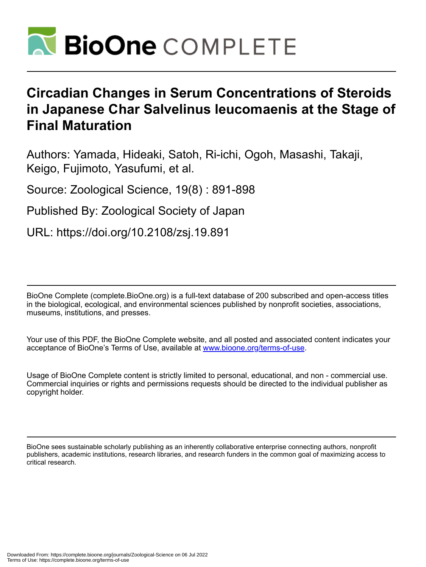

# **Circadian Changes in Serum Concentrations of Steroids in Japanese Char Salvelinus leucomaenis at the Stage of Final Maturation**

Authors: Yamada, Hideaki, Satoh, Ri-ichi, Ogoh, Masashi, Takaji, Keigo, Fujimoto, Yasufumi, et al.

Source: Zoological Science, 19(8) : 891-898

Published By: Zoological Society of Japan

URL: https://doi.org/10.2108/zsj.19.891

BioOne Complete (complete.BioOne.org) is a full-text database of 200 subscribed and open-access titles in the biological, ecological, and environmental sciences published by nonprofit societies, associations, museums, institutions, and presses.

Your use of this PDF, the BioOne Complete website, and all posted and associated content indicates your acceptance of BioOne's Terms of Use, available at www.bioone.org/terms-of-use.

Usage of BioOne Complete content is strictly limited to personal, educational, and non - commercial use. Commercial inquiries or rights and permissions requests should be directed to the individual publisher as copyright holder.

BioOne sees sustainable scholarly publishing as an inherently collaborative enterprise connecting authors, nonprofit publishers, academic institutions, research libraries, and research funders in the common goal of maximizing access to critical research.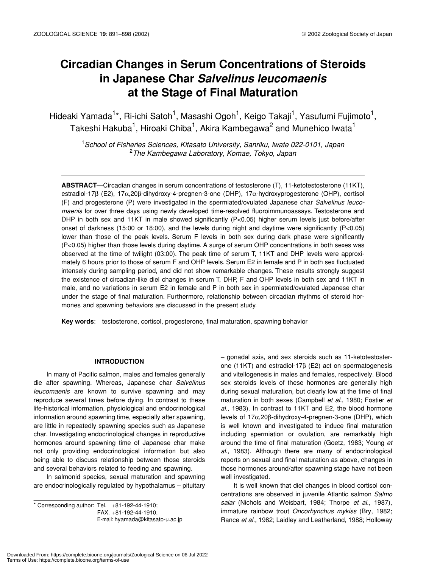# **Circadian Changes in Serum Concentrations of Steroids in Japanese Char** *Salvelinus leucomaenis* **at the Stage of Final Maturation**

Hideaki Yamada<sup>1\*</sup>, Ri-ichi Satoh<sup>1</sup>, Masashi Ogoh<sup>1</sup>, Keigo Takaji<sup>1</sup>, Yasufumi Fujimoto<sup>1</sup>, Takeshi Hakuba $^1$ , Hiroaki Chiba $^1$ , Akira Kambegawa $^2$  and Munehico Iwata $^1$ 

1 *School of Fisheries Sciences, Kitasato University, Sanriku, Iwate 022-0101, Japan* 2 *The Kambegawa Laboratory, Komae, Tokyo, Japan*

**ABSTRACT**—Circadian changes in serum concentrations of testosterone (T), 11-ketotestosterone (11KT), estradiol-17β (E2), 17α,20β-dihydroxy-4-pregnen-3-one (DHP), 17α-hydroxyprogesterone (OHP), cortisol (F) and progesterone (P) were investigated in the spermiated/ovulated Japanese char *Salvelinus leucomaenis* for over three days using newly developed time-resolved fluoroimmunoassays. Testosterone and DHP in both sex and 11KT in male showed significantly (P<0.05) higher serum levels just before/after onset of darkness (15:00 or 18:00), and the levels during night and daytime were significantly (P<0.05) lower than those of the peak levels. Serum F levels in both sex during dark phase were significantly (P<0.05) higher than those levels during daytime. A surge of serum OHP concentrations in both sexes was observed at the time of twilight (03:00). The peak time of serum T, 11KT and DHP levels were approximately 6 hours prior to those of serum F and OHP levels. Serum E2 in female and P in both sex fluctuated intensely during sampling period, and did not show remarkable changes. These results strongly suggest the existence of circadian-like diel changes in serum T, DHP, F and OHP levels in both sex and 11KT in male, and no variations in serum E2 in female and P in both sex in spermiated/ovulated Japanese char under the stage of final maturation. Furthermore, relationship between circadian rhythms of steroid hormones and spawning behaviors are discussed in the present study.

**Key words**: testosterone, cortisol, progesterone, final maturation, spawning behavior

### **INTRODUCTION**

In many of Pacific salmon, males and females generally die after spawning. Whereas, Japanese char *Salvelinus leucomaenis* are known to survive spawning and may reproduce several times before dying. In contrast to these life-historical information, physiological and endocrinological information around spawning time, especially after spawning, are little in repeatedly spawning species such as Japanese char. Investigating endocrinological changes in reproductive hormones around spawning time of Japanese char make not only providing endocrinological information but also being able to discuss relationship between those steroids and several behaviors related to feeding and spawning.

In salmonid species, sexual maturation and spawning are endocrinologically regulated by hypothalamus – pituitary

 $*$  Corresponding author: Tel.  $+81-192-44-1910$ ; FAX. +81-192-44-1910. E-mail: hyamada@kitasato-u.ac.jp – gonadal axis, and sex steroids such as 11-ketotestosterone (11KT) and estradiol-17β (E2) act on spermatogenesis and vitellogenesis in males and females, respectively. Blood sex steroids levels of these hormones are generally high during sexual maturation, but clearly low at the time of final maturation in both sexes (Campbell *et al*., 1980; Fostier *et al*., 1983). In contrast to 11KT and E2, the blood hormone levels of 17α,20β-dihydroxy-4-pregnen-3-one (DHP), which is well known and investigated to induce final maturation including spermiation or ovulation, are remarkably high around the time of final maturation (Goetz, 1983; Young *et al*., 1983). Although there are many of endocrinological reports on sexual and final maturation as above, changes in those hormones around/after spawning stage have not been well investigated.

It is well known that diel changes in blood cortisol concentrations are observed in juvenile Atlantic salmon *Salmo salar* (Nichols and Weisbart, 1984; Thorpe *et al*., 1987), immature rainbow trout *Oncorhynchus mykiss* (Bry, 1982; Rance *et al*., 1982; Laidley and Leatherland, 1988; Holloway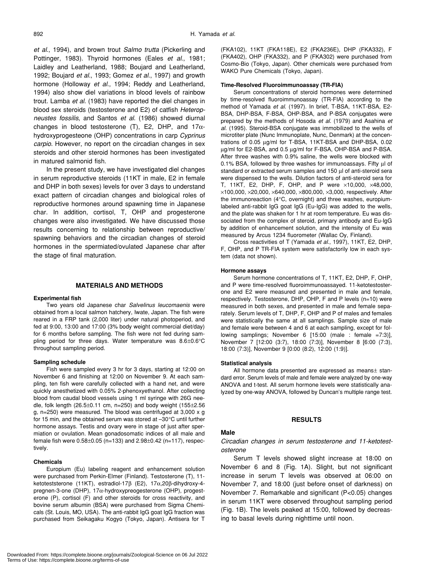*et al*., 1994), and brown trout *Salmo trutta* (Pickerling and Pottinger, 1983). Thyroid hormones (Eales *et al*., 1981; Laidley and Leatherland, 1988; Boujard and Leatherland, 1992; Boujard *et al*., 1993; Gomez *et al*., 1997) and growth hormone (Holloway *et al*., 1994; Reddy and Leatherland, 1994) also show diel variations in blood levels of rainbow trout. Lamba *et al*. (1983) have reported the diel changes in blood sex steroids (testosterone and E2) of catfish *Heteropneustes fossilis*, and Santos *et al*. (1986) showed diurnal changes in blood testosterone (T), E2, DHP, and  $17\alpha$ hydroxyprogesteone (OHP) concentrations in carp *Cyprinus carpio*. However, no report on the circadian changes in sex steroids and other steroid hormones has been investigated in matured salmonid fish.

In the present study, we have investigated diel changes in serum reproductive steroids (11KT in male, E2 in female and DHP in both sexes) levels for over 3 days to understand exact pattern of circadian changes and biological roles of reproductive hormones around spawning time in Japanese char. In addition, cortisol, T, OHP and progesterone changes were also investigated. We have discussed those results concerning to relationship between reproductive/ spawning behaviors and the circadian changes of steroid hormones in the spermiated/ovulated Japanese char after the stage of final maturation.

#### **MATERIALS AND METHODS**

#### **Experimental fish**

Two years old Japanese char *Salvelinus leucomaenis* were obtained from a local salmon hatchery, Iwate, Japan. The fish were reared in a FRP tank (2,000 liter) under natural photoperiod, and fed at 9:00, 13:00 and 17:00 (3% body weight commercial diet/day) for 6 months before sampling. The fish were not fed during sampling period for three days. Water temperature was 8.6±0.6°C throughout sampling period.

#### **Sampling schedule**

Fish were sampled every 3 hr for 3 days, starting at 12:00 on November 6 and finishing at 12:00 on November 9. At each sampling, ten fish were carefully collected with a hand net, and were quickly anesthetized with 0.05% 2-phenoxyethanol. After collecting blood from caudal blood vessels using 1 ml syringe with 26G needle, folk length (26.5 $\pm$ 0.11 cm, n=250) and body weight (155 $\pm$ 2.56 g, n=250) were measured. The blood was centrifuged at 3,000 x g for 15 min, and the obtained serum was stored at –30°C until further hormone assays. Testis and ovary were in stage of just after spermiation or ovulation. Mean gonadosomatic indices of all male and female fish were 0.58±0.05 (n=133) and 2.98±0.42 (n=117), respectively.

#### **Chemicals**

Europium (Eu) labeling reagent and enhancement solution were purchased from Perkin-Elmer (Finland). Testosterone (T), 11 ketoteststerone (11KT), estradiol-17β (E2), 17α,20β-dihydroxy-4 pregnen-3-one (DHP), 17α-hydroxypreogesterone (OHP), progesterone (P), cortisol (F) and other steroids for cross reactivity, and bovine serum albumin (BSA) were purchased from Sigma Chemicals (St. Louis, MO, USA). The anti-rabbit IgG goat IgG fraction was purchased from Seikagaku Kogyo (Tokyo, Japan). Antisera for T

(FKA102), 11KT (FKA118E), E2 (FKA236E), DHP (FKA332), F (FKA402), OHP (FKA332), and P (FKA302) were purchased from Cosmo-Bio (Tokyo, Japan). Other chemicals were purchased from WAKO Pure Chemicals (Tokyo, Japan).

#### **Time-Resolved Fluoroimmunoassay (TR-FIA)**

Serum concentrations of steroid hormones were determined by time-resolved fluoroimmunoassay (TR-FIA) according to the method of Yamada *et al*. (1997). In brief, T-BSA, 11KT-BSA, E2- BSA, DHP-BSA, F-BSA, OHP-BSA, and P-BSA conjugates were prepared by the methods of Hosoda *et al*. (1979) and Asahina *et al*. (1995). Steroid-BSA conjugate was immobilized to the wells of microtiter plate (Nunc Immunoplate, Nunc, Denmark) at the concentrations of 0.05 µg/ml for T-BSA, 11KT-BSA and DHP-BSA, 0.02 µg/ml for E2-BSA, and 0.5 µg/ml for F-BSA, OHP-BSA and P-BSA. After three washes with 0.9% saline, the wells were blocked with 0.1% BSA, followed by three washes for immunoassays. Fifty ul of standard or extracted serum samples and 150 µl of anti-steroid sera were dispensed to the wells. Dilution factors of anti-steroid sera for T, 11KT, E2, DHP, F, OHP, and P were ×10,000, ×48,000,  $\times$ 100,000,  $\times$ 20,000,  $\times$ 640,000,  $\times$ 800,000,  $\times$ 3,000, respectively. After the immunoreaction (4°C, overnight) and three washes, europiumlabeled anti-rabbit IgG goat IgG (Eu-IgG) was added to the wells, and the plate was shaken for 1 hr at room temperature. Eu was dissociated from the complex of steroid, primary antibody and Eu-IgG by addition of enhancement solution, and the intensity of Eu was measured by Arcus 1234 fluorometer (Wallac Oy, Finland).

Cross reactivities of T (Yamada *et al*., 1997), 11KT, E2, DHP, F, OHP, and P TR-FIA system were satisfactorily low in each system (data not shown).

#### **Hormone assays**

Serum hormone concentrations of T, 11KT, E2, DHP, F, OHP, and P were time-resolved fluoroimmunoassayed. 11-ketotestosterone and E2 were measured and presented in male and female, respectively. Testosterone, DHP, OHP, F and P levels (n=10) were measured in both sexes, and presented in male and female separately. Serum levels of T, DHP, F, OHP and P of males and females were statistically the same at all samplings. Sample size of male and female were between 4 and 6 at each sampling, except for following samplings; November 6  $[15:00$  (male : female =7:3)], November 7 [12:00 (3:7), 18:00 (7:3)], November 8 [6:00 (7:3), 18:00 (7:3)], November 9 [0:00 (8:2), 12:00 (1:9)].

#### **Statistical analysis**

All hormone data presented are expressed as means± standard error. Serum levels of male and female were analyzed by one-way ANOVA and t-test. All serum hormone levels were statistically analyzed by one-way ANOVA, followed by Duncan's multiple range test.

#### **RESULTS**

#### **Male**

# *Circadian changes in serum testosterone and 11-ketotestosterone*

Serum T levels showed slight increase at 18:00 on November 6 and 8 (Fig. 1A). Slight, but not significant increase in serum T levels was observed at 06:00 on November 7, and 18:00 (just before onset of darkness) on November 7. Remarkable and significant (P<0.05) changes in serum 11KT were observed throughout sampling period (Fig. 1B). The levels peaked at 15:00, followed by decreasing to basal levels during nighttime until noon.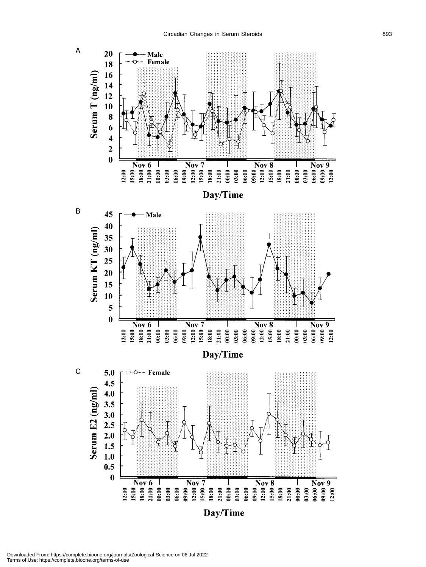

Downloaded From: https://complete.bioone.org/journals/Zoological-Science on 06 Jul 2022 Terms of Use: https://complete.bioone.org/terms-of-use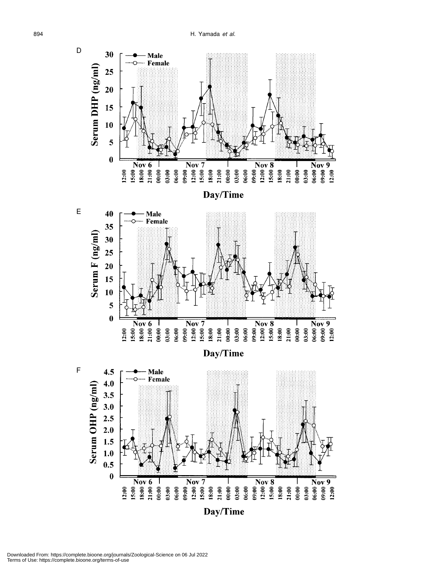

Downloaded From: https://complete.bioone.org/journals/Zoological-Science on 06 Jul 2022 Terms of Use: https://complete.bioone.org/terms-of-use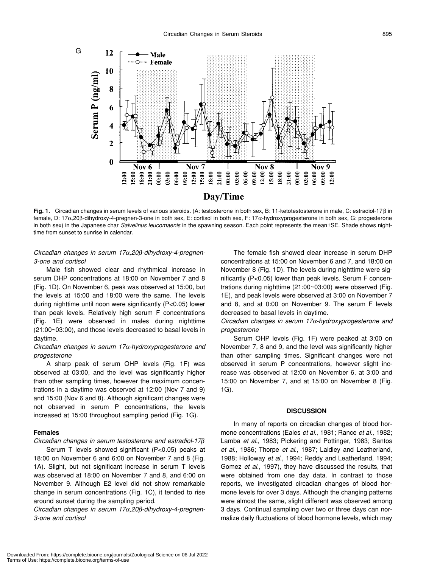

**Fig. 1.** Circadian changes in serum levels of various steroids. (A: testosterone in both sex, B: 11-ketotestosterone in male, C: estradiol-17β in female, D: 17α,20β-dihydroxy-4-pregnen-3-one in both sex, E: cortisol in both sex, F: 17α-hydroxyprogesterone in both sex, G: progesterone in both sex) in the Japanese char *Salvelinus leucomaenis* in the spawning season. Each point represents the mean±SE. Shade shows nighttime from sunset to sunrise in calendar.

# *Circadian changes in serum 17*α*,20*β*-dihydroxy-4-pregnen-3-one and cortisol*

Male fish showed clear and rhythmical increase in serum DHP concentrations at 18:00 on November 7 and 8 (Fig. 1D). On November 6, peak was observed at 15:00, but the levels at 15:00 and 18:00 were the same. The levels during nighttime until noon were significantly (P<0.05) lower than peak levels. Relatively high serum F concentrations (Fig. 1E) were observed in males during nighttime (21:00~03:00), and those levels decreased to basal levels in daytime.

# *Circadian changes in serum 17*α*-hydroxyprogesterone and progesterone*

A sharp peak of serum OHP levels (Fig. 1F) was observed at 03:00, and the level was significantly higher than other sampling times, however the maximum concentrations in a daytime was observed at 12:00 (Nov 7 and 9) and 15:00 (Nov 6 and 8). Although significant changes were not observed in serum P concentrations, the levels increased at 15:00 throughout sampling period (Fig. 1G).

# **Females**

# *Circadian changes in serum testosterone and estradiol-17*β

Serum T levels showed significant (P<0.05) peaks at 18:00 on November 6 and 6:00 on November 7 and 8 (Fig. 1A). Slight, but not significant increase in serum T levels was observed at 18:00 on November 7 and 8, and 6:00 on November 9. Although E2 level did not show remarkable change in serum concentrations (Fig. 1C), it tended to rise around sunset during the sampling period.

*Circadian changes in serum 17*α*,20*β*-dihydroxy-4-pregnen-3-one and cortisol*

The female fish showed clear increase in serum DHP concentrations at 15:00 on November 6 and 7, and 18:00 on November 8 (Fig. 1D). The levels during nighttime were significantly (P<0.05) lower than peak levels. Serum F concentrations during nighttime (21:00~03:00) were observed (Fig. 1E), and peak levels were observed at 3:00 on November 7 and 8, and at 0:00 on November 9. The serum F levels decreased to basal levels in daytime.

*Circadian changes in serum 17*α*-hydroxyprogesterone and progesterone*

Serum OHP levels (Fig. 1F) were peaked at 3:00 on November 7, 8 and 9, and the level was significantly higher than other sampling times. Significant changes were not observed in serum P concentrations, however slight increase was observed at 12:00 on November 6, at 3:00 and 15:00 on November 7, and at 15:00 on November 8 (Fig. 1G).

#### **DISCUSSION**

In many of reports on circadian changes of blood hormone concentrations (Eales *et al*., 1981; Rance *et al*., 1982; Lamba *et al*., 1983; Pickering and Pottinger, 1983; Santos *et al*., 1986; Thorpe *et al*., 1987; Laidley and Leatherland, 1988; Holloway *et al*., 1994; Reddy and Leatherland, 1994; Gomez *et al*., 1997), they have discussed the results, that were obtained from one day data. In contrast to those reports, we investigated circadian changes of blood hormone levels for over 3 days. Although the changing patterns were almost the same, slight different was observed among 3 days. Continual sampling over two or three days can normalize daily fluctuations of blood hormone levels, which may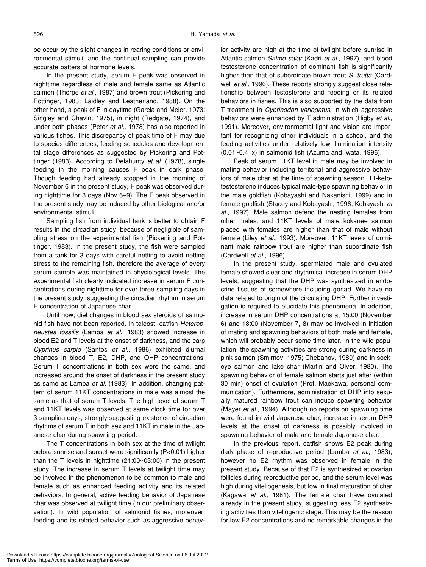be occur by the slight changes in rearing conditions or environmental stimuli, and the continual sampling can provide accurate patters of hormone levels.

In the present study, serum F peak was observed in nighttime regardless of male and female same as Atlantic salmon (Thorpe *et al*., 1987) and brown trout (Pickering and Pottinger, 1983; Laidley and Leatherland, 1988). On the other hand, a peak of F in daytime (Garcia and Meier, 1973; Singley and Chavin, 1975), in night (Redgate, 1974), and under both phases (Peter *et al*., 1978) has also reported in various fishes. This discrepancy of peak time of F may due to species differences, feeding schedules and developmental stage differences as suggested by Pickering and Pottinger (1983). According to Delahunty *et al*. (1978), single feeding in the morning causes F peak in dark phase. Though feeding had already stopped in the morning of November 6 in the present study, F peak was observed during nighttime for 3 days (Nov 6–9). The F peak observed in the present study may be induced by other biological and/or environmental stimuli.

Sampling fish from individual tank is better to obtain F results in the circadian study, because of negligible of sampling stress on the experimental fish (Pickerling and Pottinger, 1983). In the present study, the fish were sampled from a tank for 3 days with careful netting to avoid netting stress to the remaining fish, therefore the average of every serum sample was maintained in physiological levels. The experimental fish clearly indicated increase in serum F concentrations during nighttime for over three sampling days in the present study, suggesting the circadian rhythm in serum F concentration of Japanese char.

Until now, diel changes in blood sex steroids of salmonid fish have not been reported. In teleost, catfish *Heteropneustes fossilis* (Lamba *et al*., 1983) showed increase in blood E2 and T levels at the onset of darkness, and the carp *Cyprinus carpio* (Santos *et al*., 1986) exhibited diurnal changes in blood T, E2, DHP, and OHP concentrations. Serum T concentrations in both sex were the same, and increased around the onset of darkness in the present study as same as Lamba *et al*. (1983). In addition, changing pattern of serum 11KT concentrations in male was almost the same as that of serum T levels. The high level of serum T and 11KT levels was observed at same clock time for over 3 sampling days, strongly suggesting existence of circadian rhythms of serum T in both sex and 11KT in male in the Japanese char during spawning period.

The T concentrations in both sex at the time of twilight before sunrise and sunset were significantly (P<0.01) higher than the T levels in nighttime (21:00~03:00) in the present study. The increase in serum T levels at twilight time may be involved in the phenomenon to be common to male and female such as enhanced feeding activity and its related behaviors. In general, active feeding behavior of Japanese char was observed at twilight time (in our preliminary observation). In wild population of salmonid fishes, moreover, feeding and its related behavior such as aggressive behavior activity are high at the time of twilight before sunrise in Atlantic salmon *Salmo salar* (Kadri *et al*., 1997), and blood testosterone concentration of dominant fish is significantly higher than that of subordinate brown trout *S. trutta* (Cardwell *et al*., 1996). These reports strongly suggest close relationship between testosterone and feeding or its related behaviors in fishes. This is also supported by the data from T treatment in *Cyprinodon variegatus*, in which aggressive behaviors were enhanced by T administration (Higby *et al*., 1991). Moreover, environmental light and vision are important for recognizing other individuals in a school, and the feeding activities under relatively low illumination intensity (0.01~0.4 lx) in salmonid fish (Azuma and Iwata, 1996).

Peak of serum 11KT level in male may be involved in mating behavior including territorial and aggressive behaviors of male char at the time of spawning season. 11-ketotestosterone induces typical male-type spawning behavior in the male goldfish (Kobayashi and Nakanishi, 1999) and in female goldfish (Stacey and Kobayashi, 1996; Kobayashi *et al*., 1997). Male salmon defend the nesting females from other males, and 11KT levels of male kokanee salmon placed with females are higher than that of male without female (Liley *et al*., 1993). Moreover, 11KT levels of dominant male rainbow trout are higher than subordinate fish (Cardwell *et al*., 1996).

In the present study, spermiated male and ovulated female showed clear and rhythmical increase in serum DHP levels, suggesting that the DHP was synthesized in endocrine tissues of somewhere including gonad. We have no data related to origin of the circulating DHP. Further investigation is required to elucidate this phenomena. In addition, increase in serum DHP concentrations at 15:00 (November 6) and 18:00 (November 7, 8) may be involved in initiation of mating and spawning behaviors of both male and female, which will probably occur some time later. In the wild population, the spawning activities are strong during darkness in pink salmon (Smirnov, 1975; Chebanov, 1980) and in sockeye salmon and lake char (Martin and Olver, 1980). The spawning behavior of female salmon starts just after (within 30 min) onset of ovulation (Prof. Maekawa, personal communication). Furthermore, administration of DHP into sexually matured rainbow trout can induce spawning behavior (Mayer *et al*., 1994). Although no reports on spawning time were found in wild Japanese char, increase in serum DHP levels at the onset of darkness is possibly involved in spawning behavior of male and female Japanese char.

In the previous report, catfish shows E2 peak during dark phase of reproductive period (Lamba *et al*., 1983), however no E2 rhythm was observed in female in the present study. Because of that E2 is synthesized at ovarian follicles during reproductive period, and the serum level was high during vitellogenesis, but low in final maturation of char (Kagawa *et al*., 1981). The female char have ovulated already in the present study, suggesting less E2 synthesizing activities than vitellogenic stage. This may be the reason for low E2 concentrations and no remarkable changes in the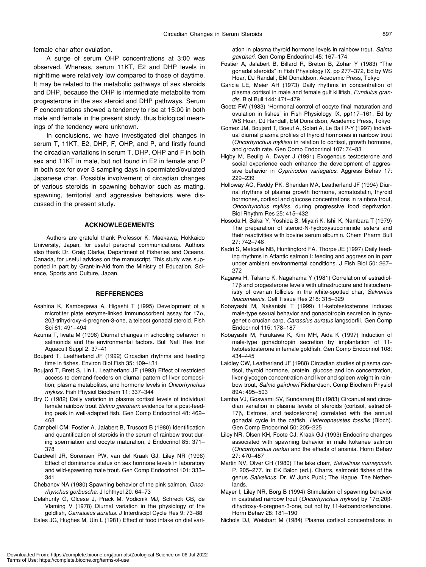female char after ovulation.

A surge of serum OHP concentrations at 3:00 was observed. Whereas, serum 11KT, E2 and DHP levels in nighttime were relatively low compared to those of daytime. It may be related to the metabolic pathways of sex steroids and DHP, because the OHP is intermediate metabolite from progesterone in the sex steroid and DHP pathways. Serum P concentrations showed a tendency to rise at 15:00 in both male and female in the present study, thus biological meanings of the tendency were unknown.

In conclusions, we have investigated diel changes in serum T, 11KT, E2, DHP, F, OHP, and P, and firstly found the circadian variations in serum T, DHP, OHP and F in both sex and 11KT in male, but not found in E2 in female and P in both sex for over 3 sampling days in spermiated/ovulated Japanese char. Possible involvement of circadian changes of various steroids in spawning behavior such as mating, spawning, territorial and aggressive behaviors were discussed in the present study.

# **ACKNOWLEGEMENTS**

Authors are grateful thank Professor K. Maekawa, Hokkaido University, Japan, for useful personal communications. Authors also thank Dr. Craig Clarke, Department of Fisheries and Oceans, Canada, for useful advices on the manuscript. This study was supported in part by Grant-in-Aid from the Ministry of Education, Science, Sports and Culture, Japan.

## **REFFERENCES**

- Asahina K, Kambegawa A, Higashi T (1995) Development of a microtiter plate enzyme-linked immunosorbent assay for  $17\alpha$ , 20β-trihydroxy-4-pregnen-3-one, a teleost gonadal steroid. Fish Sci 61: 491–494
- Azuma T, Iwata M (1996) Diurnal changes in schooling behavior in salmonids and the environmental factors. Bull Natl Res Inst Aquacult Suppl 2: 37–41
- Boujard T, Leatherland JF (1992) Circadian rhythms and feeding time in fishes. Environ Biol Fish 35: 109–131
- Boujard T, Brett S, Lin L, Leatherland JF (1993) Effect of restricted access to demand-feeders on diurnal pattern of liver composition, plasma metabolites, and hormone levels in *Oncorhynchus mykiss*. Fish Physiol Biochem 11: 337–344
- Bry C (1982) Daily variation in plasma cortisol levels of individual female rainbow trout *Salmo gairdneri*: evidence for a post-feeding peak in well-adapted fish. Gen Comp Endocrinol 48: 462– 468
- Campbell CM, Fostier A, Jalabert B, Truscott B (1980) Identification and quantification of steroids in the serum of rainbow trout during spermiation and oocyte maturation. J Endocrinol 85: 371– 378
- Cardwell JR, Sorensen PW, van del Kraak GJ, Liley NR (1996) Effect of dominance status on sex hormone levels in laboratory and wild-spawning male trout. Gen Comp Endocrinol 101: 333– 341
- Chebanov NA (1980) Spawning behavior of the pink salmon, *Oncorhynchus gorbuscha*. J Ichthyol 20: 64–73
- Delahunty G, Olcese J, Prack M, Vodicnik MJ, Schreck CB, de Vlaming V (1978) Diurnal variation in the physiology of the goldfish, *Carrassius auratus*. J Interdiscipl Cycle Res 9: 73–88
- Eales JG, Hughes M, Uin L (1981) Effect of food intake on diel vari-

ation in plasma thyroid hormone levels in rainbow trout, *Salmo gairdneri*. Gen Comp Endocrinol 45: 167–174

- Fostier A, Jalabert B, Billard R, Breton B, Zohar Y (1983) "The gonadal steroids" in Fish Physiology IX, pp 277–372, Ed by WS Hoar, DJ Randall, EM Donaldson, Academic Press, Tokyo
- Garicia LE, Meier AH (1973) Daily rhythms in concentration of plasma cortisol in male and female gulf killifish, *Fundulus grandis*. Biol Bull 144: 471–479
- Goetz FW (1983) "Hormonal control of oocyte final maturation and ovulation in fishes" in Fish Physiology IX, pp117–161, Ed by WS Hoar, DJ Randall, EM Donaldson, Academic Press, Tokyo
- Gomez JM, Boujard T, Boeuf A, Solari A, Le Bail P-Y (1997) Individual diurnal plasma profiles of thyroid hormones in rainbow trout (*Oncorhynchus mykiss*) in relation to cortisol, growth hormone, and growth rate. Gen Comp Endocrinol 107: 74–83
- Higby M, Beulig A, Dwyer J (1991) Exogenous testosterone and social experience each enhance the development of aggressive behavior in *Cyprinodon variegatus*. Aggress Behav 17: 229–239
- Holloway AC, Reddy PK, Sheridan MA, Leatherland JF (1994) Diurnal rhythms of plasma growth hormone, somatostatin, thyroid hormones, cortisol and glucose concentrations in rainbow trout, *Oncorhynchus mykiss*, during progressive food deprivation. Biol Rhythm Res 25: 415–432
- Hosoda H, Sakai Y, Yoshida S, Miyairi K, Ishii K, Nambara T (1979) The preparation of steroid-N-hydroxysuccinimide esters and their reactivities with bovine serum albumin. Chem Pharm Bull 27: 742–746
- Kadri S, Metcalfe NB, Huntingford FA, Thorpe JE (1997) Daily feeding rhythms in Atlantic salmon I: feeding and aggression in parr under ambient environmental conditions. J Fish Biol 50: 267– 272
- Kagawa H, Takano K, Nagahama Y (1981) Correlation of estradiol-17β and progesterone levels with ultrastructure and histochemistry of ovarian follicles in the white-spotted char, *Salvenius leucomaenis*. Cell Tissue Res 218: 315–329
- Kobayashi M, Nakanishi T (1999) 11-ketotestosterone induces male-type sexual behavior and gonadotropin secretion in gynogenetic crucian carp, *Carassius auratus* langsdorfii. Gen Comp Endocrinol 115: 178–187
- Kobayashi M, Furukawa K, Kim MH, Aida K (1997) Induction of male-type gonadotropin secretion by implantation of 11 ketotestosterone in female goldfish. Gen Comp Endocrinol 108: 434–445
- Laidley CW, Leatherland JF (1988) Circadian studies of plasma cortisol, thyroid hormone, protein, glucose and ion concentration, liver glycogen concentration and liver and spleen weight in rainbow trout, *Salmo gairdneri* Richardson. Comp Biochem Physiol 89A: 495–503
- Lamba VJ, Goswami SV, Sundararaj BI (1983) Circanual and circadian variation in plasma levels of steroids (cortisol, estradiol-17β, Estrone, and testosterone) correlated with the annual gonadal cycle in the catfish, *Heteropneustes fossilis* (Bloch). Gen Comp Endocrinol 50: 205–225
- Liley NR, Olsen KH, Foote CJ, Kraak GJ (1993) Endocrine changes associated with spawning behavior in male kokanee salmon (*Oncorhynchus nerka*) and the effects of ansmia. Horm Behav 27: 470–487
- Martin NV, Olver CH (1980) The lake charr, *Salvelinus manaycush*. P. 205–277. In: EK Balon (ed.). Charrs, salmonid fishes of the genus *Salvelinus*. Dr. W Junk Publ.; The Hague, The Netherlands.
- Mayer I, Liley NR, Borg B (1994) Stimulation of spawning behavior in castrated rainbow trout (*Oncorhynchus mykiss*) by 17α,20βdihydroxy-4-pregnen-3-one, but not by 11-ketoandrostendione. Horm Behav 28: 181–190
- Nichols DJ, Weisbart M (1984) Plasma cortisol concentrations in